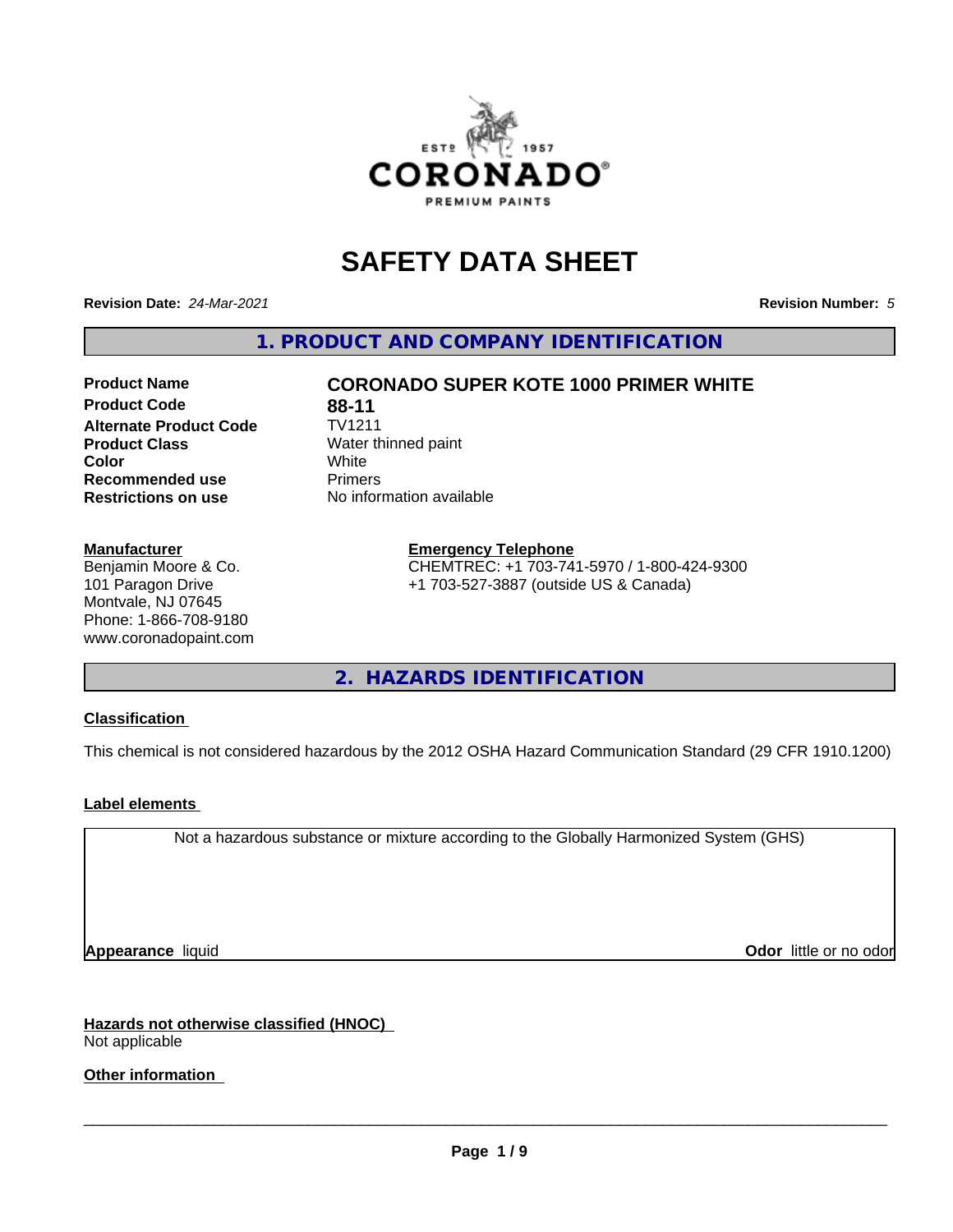

# **SAFETY DATA SHEET**

**Revision Date:** *24-Mar-2021* **Revision Number:** *5*

**1. PRODUCT AND COMPANY IDENTIFICATION**

## **Product Code 68-11**<br> **Alternate Product Code** TV1211 **Alternate Product Code Product Class** Water thinned paint<br> **Color** White **Color** White White **Recommended use** Primers **Restrictions on use** No information available

#### **Manufacturer**

Benjamin Moore & Co. 101 Paragon Drive Montvale, NJ 07645 Phone: 1-866-708-9180 www.coronadopaint.com

# **Product Name CORONADO SUPER KOTE 1000 PRIMER WHITE**

#### **Emergency Telephone**

CHEMTREC: +1 703-741-5970 / 1-800-424-9300 +1 703-527-3887 (outside US & Canada)

**2. HAZARDS IDENTIFICATION**

#### **Classification**

This chemical is not considered hazardous by the 2012 OSHA Hazard Communication Standard (29 CFR 1910.1200)

#### **Label elements**

Not a hazardous substance or mixture according to the Globally Harmonized System (GHS)

**Appearance** liquid **Contract Contract Contract Contract Contract Contract Contract Contract Contract Contract Contract Contract Contract Contract Contract Contract Contract Contract Contract Contract Contract Contract Con** 

**Hazards not otherwise classified (HNOC)** Not applicable

**Other information**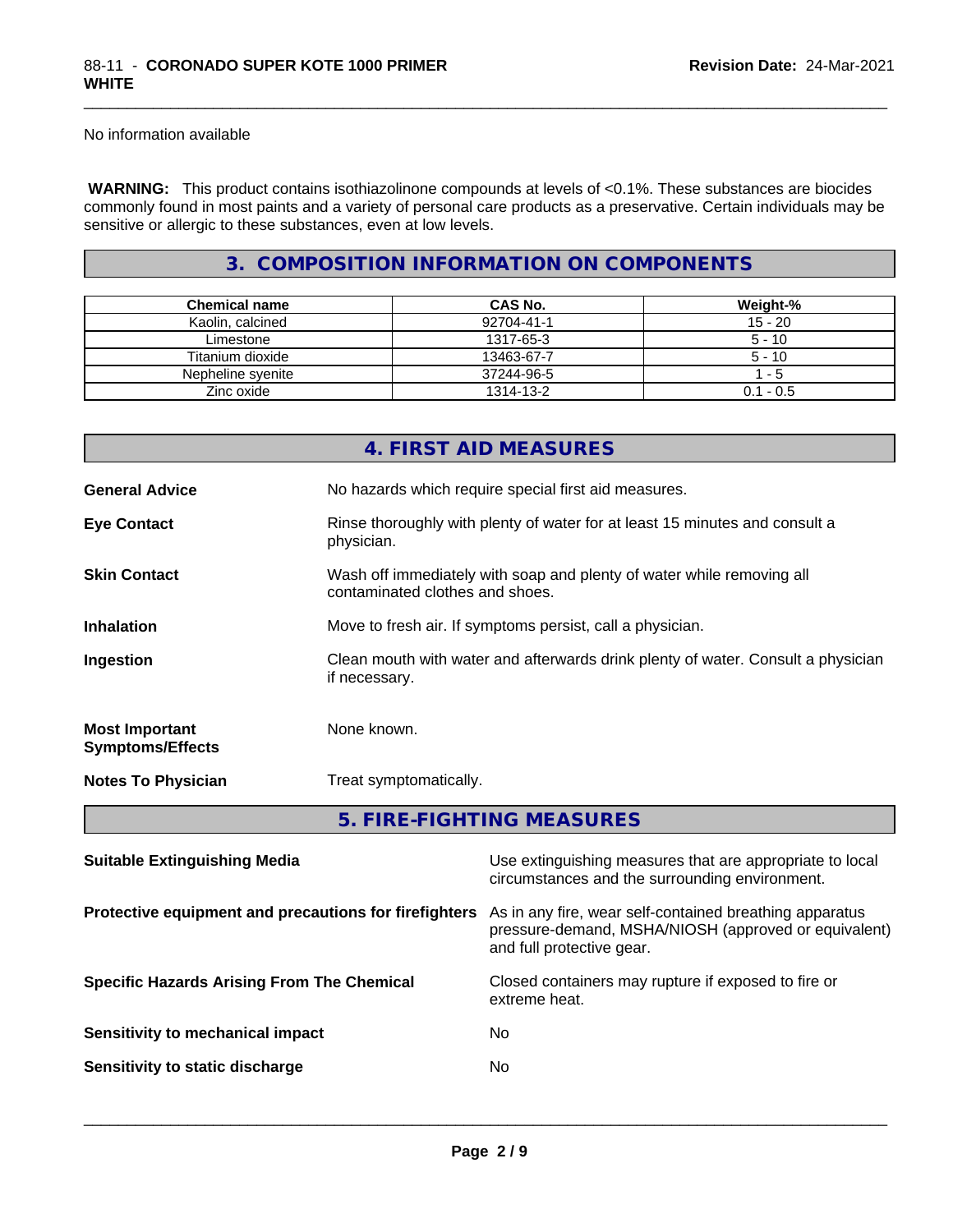No information available

 **WARNING:** This product contains isothiazolinone compounds at levels of <0.1%. These substances are biocides commonly found in most paints and a variety of personal care products as a preservative. Certain individuals may be sensitive or allergic to these substances, even at low levels.

\_\_\_\_\_\_\_\_\_\_\_\_\_\_\_\_\_\_\_\_\_\_\_\_\_\_\_\_\_\_\_\_\_\_\_\_\_\_\_\_\_\_\_\_\_\_\_\_\_\_\_\_\_\_\_\_\_\_\_\_\_\_\_\_\_\_\_\_\_\_\_\_\_\_\_\_\_\_\_\_\_\_\_\_\_\_\_\_\_\_\_\_\_

## **3. COMPOSITION INFORMATION ON COMPONENTS**

| <b>Chemical name</b> | CAS No.    | Weight-%    |
|----------------------|------------|-------------|
| Kaolin, calcined     | 92704-41-1 | $15 - 20$   |
| Limestone            | 1317-65-3  | $5 - 10$    |
| Titanium dioxide     | 13463-67-7 | $5 - 10$    |
| Nepheline svenite    | 37244-96-5 | - 5         |
| Zinc oxide           | 1314-13-2  | $0.1 - 0.5$ |

|                                                  | 4. FIRST AID MEASURES                                                                                    |  |  |
|--------------------------------------------------|----------------------------------------------------------------------------------------------------------|--|--|
| <b>General Advice</b>                            | No hazards which require special first aid measures.                                                     |  |  |
| <b>Eye Contact</b>                               | Rinse thoroughly with plenty of water for at least 15 minutes and consult a<br>physician.                |  |  |
| <b>Skin Contact</b>                              | Wash off immediately with soap and plenty of water while removing all<br>contaminated clothes and shoes. |  |  |
| <b>Inhalation</b>                                | Move to fresh air. If symptoms persist, call a physician.                                                |  |  |
| Ingestion                                        | Clean mouth with water and afterwards drink plenty of water. Consult a physician<br>if necessary.        |  |  |
| <b>Most Important</b><br><b>Symptoms/Effects</b> | None known.                                                                                              |  |  |
| <b>Notes To Physician</b>                        | Treat symptomatically.                                                                                   |  |  |
|                                                  | 5. FIRE-FIGHTING MEASURES                                                                                |  |  |
| Suitable Extinguishing Media                     | The extinguishing measures that are appropriate to local                                                 |  |  |

| <b>Panapic Extinguishing meand</b>                    | oud ownigatoring modulated that are appropriate to local<br>circumstances and the surrounding environment.                                   |
|-------------------------------------------------------|----------------------------------------------------------------------------------------------------------------------------------------------|
| Protective equipment and precautions for firefighters | As in any fire, wear self-contained breathing apparatus<br>pressure-demand, MSHA/NIOSH (approved or equivalent)<br>and full protective gear. |
| <b>Specific Hazards Arising From The Chemical</b>     | Closed containers may rupture if exposed to fire or<br>extreme heat.                                                                         |
| Sensitivity to mechanical impact                      | No.                                                                                                                                          |
| Sensitivity to static discharge                       | No.                                                                                                                                          |
|                                                       |                                                                                                                                              |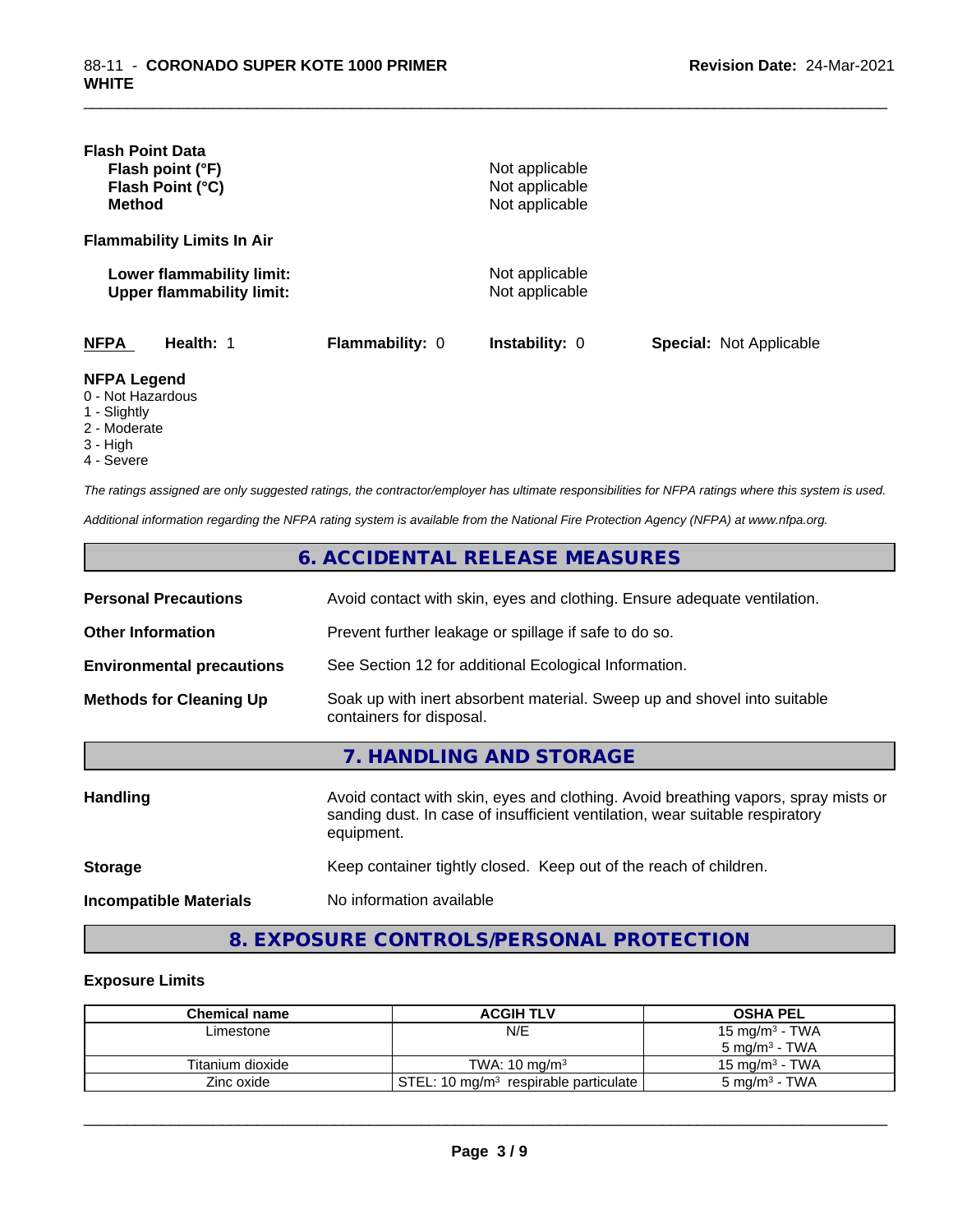| <b>Flash Point Data</b>                                                 |                 |                                  |                                |
|-------------------------------------------------------------------------|-----------------|----------------------------------|--------------------------------|
| Flash point (°F)                                                        |                 | Not applicable                   |                                |
| Flash Point (°C)                                                        |                 | Not applicable                   |                                |
| <b>Method</b>                                                           |                 | Not applicable                   |                                |
| <b>Flammability Limits In Air</b>                                       |                 |                                  |                                |
| Lower flammability limit:<br><b>Upper flammability limit:</b>           |                 | Not applicable<br>Not applicable |                                |
| <b>NFPA</b><br>Health: 1                                                | Flammability: 0 | <b>Instability: 0</b>            | <b>Special: Not Applicable</b> |
| <b>NFPA Legend</b><br>0 - Not Hazardous<br>1 - Slightly<br>2 - Moderate |                 |                                  |                                |

\_\_\_\_\_\_\_\_\_\_\_\_\_\_\_\_\_\_\_\_\_\_\_\_\_\_\_\_\_\_\_\_\_\_\_\_\_\_\_\_\_\_\_\_\_\_\_\_\_\_\_\_\_\_\_\_\_\_\_\_\_\_\_\_\_\_\_\_\_\_\_\_\_\_\_\_\_\_\_\_\_\_\_\_\_\_\_\_\_\_\_\_\_

- 
- 3 High
- 4 Severe

*The ratings assigned are only suggested ratings, the contractor/employer has ultimate responsibilities for NFPA ratings where this system is used.*

*Additional information regarding the NFPA rating system is available from the National Fire Protection Agency (NFPA) at www.nfpa.org.*

|                                  | 6. ACCIDENTAL RELEASE MEASURES                                                                                                                                                   |
|----------------------------------|----------------------------------------------------------------------------------------------------------------------------------------------------------------------------------|
| <b>Personal Precautions</b>      | Avoid contact with skin, eyes and clothing. Ensure adequate ventilation.                                                                                                         |
| <b>Other Information</b>         | Prevent further leakage or spillage if safe to do so.                                                                                                                            |
| <b>Environmental precautions</b> | See Section 12 for additional Ecological Information.                                                                                                                            |
| <b>Methods for Cleaning Up</b>   | Soak up with inert absorbent material. Sweep up and shovel into suitable<br>containers for disposal.                                                                             |
|                                  | 7. HANDLING AND STORAGE                                                                                                                                                          |
| <b>Handling</b>                  | Avoid contact with skin, eyes and clothing. Avoid breathing vapors, spray mists or<br>sanding dust. In case of insufficient ventilation, wear suitable respiratory<br>equipment. |
| <b>Storage</b>                   | Keep container tightly closed. Keep out of the reach of children.                                                                                                                |
| <b>Incompatible Materials</b>    | No information available                                                                                                                                                         |

# **8. EXPOSURE CONTROLS/PERSONAL PROTECTION**

#### **Exposure Limits**

| <b>Chemical name</b> | <b>ACGIH TLV</b>                                    | <b>OSHA PEL</b>           |
|----------------------|-----------------------------------------------------|---------------------------|
| Limestone            | N/E                                                 | 15 mg/m $3$ - TWA         |
|                      |                                                     | 5 mg/m $3$ - TWA          |
| Titanium dioxide     | TWA: $10 \text{ ma/m}^3$                            | $15 \text{ ma/m}^3$ - TWA |
| Zinc oxide           | STEL: 10 mg/m <sup>3</sup> respirable particulate ' | $5 \text{ mg/m}^3$ - TWA  |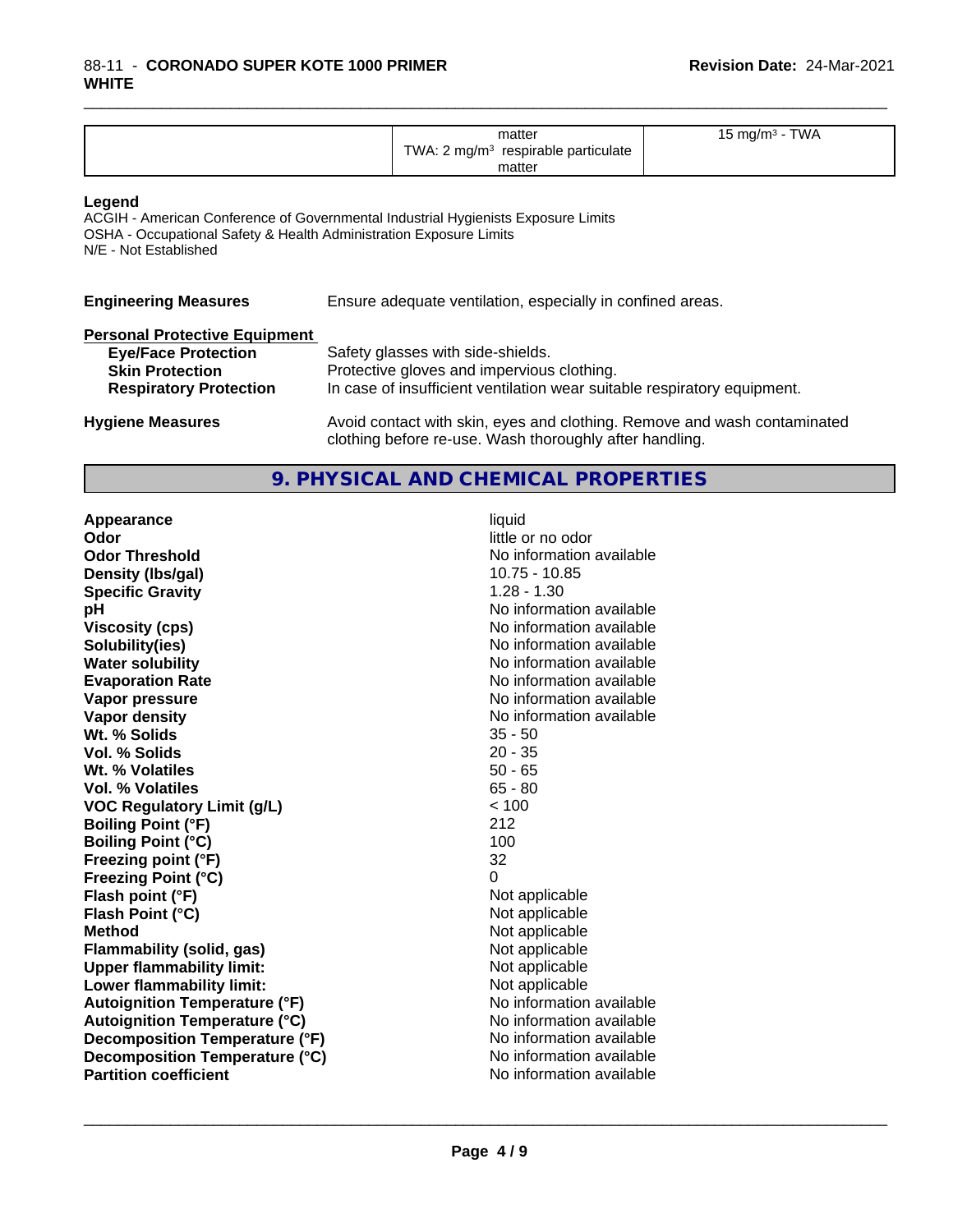| <b>TWA</b><br>matter<br>$\cdot$ m m $\sigma$<br>.<br>TWA.<br>respirable particulate<br>ma/m <sup>3</sup><br>matter |  |
|--------------------------------------------------------------------------------------------------------------------|--|
|--------------------------------------------------------------------------------------------------------------------|--|

\_\_\_\_\_\_\_\_\_\_\_\_\_\_\_\_\_\_\_\_\_\_\_\_\_\_\_\_\_\_\_\_\_\_\_\_\_\_\_\_\_\_\_\_\_\_\_\_\_\_\_\_\_\_\_\_\_\_\_\_\_\_\_\_\_\_\_\_\_\_\_\_\_\_\_\_\_\_\_\_\_\_\_\_\_\_\_\_\_\_\_\_\_

#### **Legend**

ACGIH - American Conference of Governmental Industrial Hygienists Exposure Limits OSHA - Occupational Safety & Health Administration Exposure Limits N/E - Not Established

| <b>Engineering Measures</b>          | Ensure adequate ventilation, especially in confined areas.               |
|--------------------------------------|--------------------------------------------------------------------------|
| <b>Personal Protective Equipment</b> |                                                                          |
| <b>Eye/Face Protection</b>           | Safety glasses with side-shields.                                        |
| <b>Skin Protection</b>               | Protective gloves and impervious clothing.                               |
| <b>Respiratory Protection</b>        | In case of insufficient ventilation wear suitable respiratory equipment. |

**Hygiene Measures** Avoid contact with skin, eyes and clothing. Remove and wash contaminated clothing before re-use. Wash thoroughly after handling.

### **9. PHYSICAL AND CHEMICAL PROPERTIES**

**Appearance** liquid **Odor** little or no odor **Odor Threshold**<br> **Density (Ibs/gal)**<br> **Density (Ibs/gal)**<br> **No information available**<br>
10.75 - 10.85 **Density (lbs/gal)** 10.75 - 10.75 - 10.75 - 10.75 - 10.75 - 10.75 - 10.75 - 10.75 - 10.75 - 10.75 - 10.75 - 10.75 - 10.75 - 10.75 - 10.75 - 10.75 - 10.75 - 10.75 - 10.75 - 10.75 - 10.75 - 10.75 - 10.75 - 10.75 - 10.75 - 10 **Specific Gravity**<br>pH **Viscosity (cps)** No information available **Solubility(ies)** No information available **Water solubility** No information available **Evaporation Rate No information available No information available Vapor pressure** No information available **Vapor density No information available No information available Wt. % Solids** 35 - 50 **Vol. % Solids** 20 - 35 **Wt. % Volatiles Vol. % Volatiles** 65 - 80<br> **VOC Requiatory Limit (q/L)** 65 - 80 **VOC** Regulatory Limit (g/L) **Boiling Point (°F)** 212 **Boiling Point (°C)** 100<br> **Preezing point (°F)** 100<br>
132 **Freezing point (°F) Freezing Point (°C)** 0 **Flash point (°F)**<br> **Flash Point (°C)**<br> **Flash Point (°C)**<br> **Point (°C) Flash Point (°C) Method** Not applicable **Flammability (solid, gas)**<br> **Upper flammability limit:**<br>
Upper flammability limit:<br>  $\begin{array}{ccc}\n\bullet & \bullet & \bullet \\
\bullet & \bullet & \bullet\n\end{array}$ **Upper flammability limit:**<br> **Lower flammability limit:**<br>
Not applicable<br>
Not applicable **Lower flammability limit:**<br> **Autoignition Temperature (°F)** Not applicable havailable available **Autoignition Temperature (°F)**<br> **Autoignition Temperature (°C)** No information available **Autoignition Temperature (°C) Decomposition Temperature (°F)** No information available **Decomposition Temperature (°C)** No information available<br> **Partition coefficient No information available Partition coefficient** 

**No information available**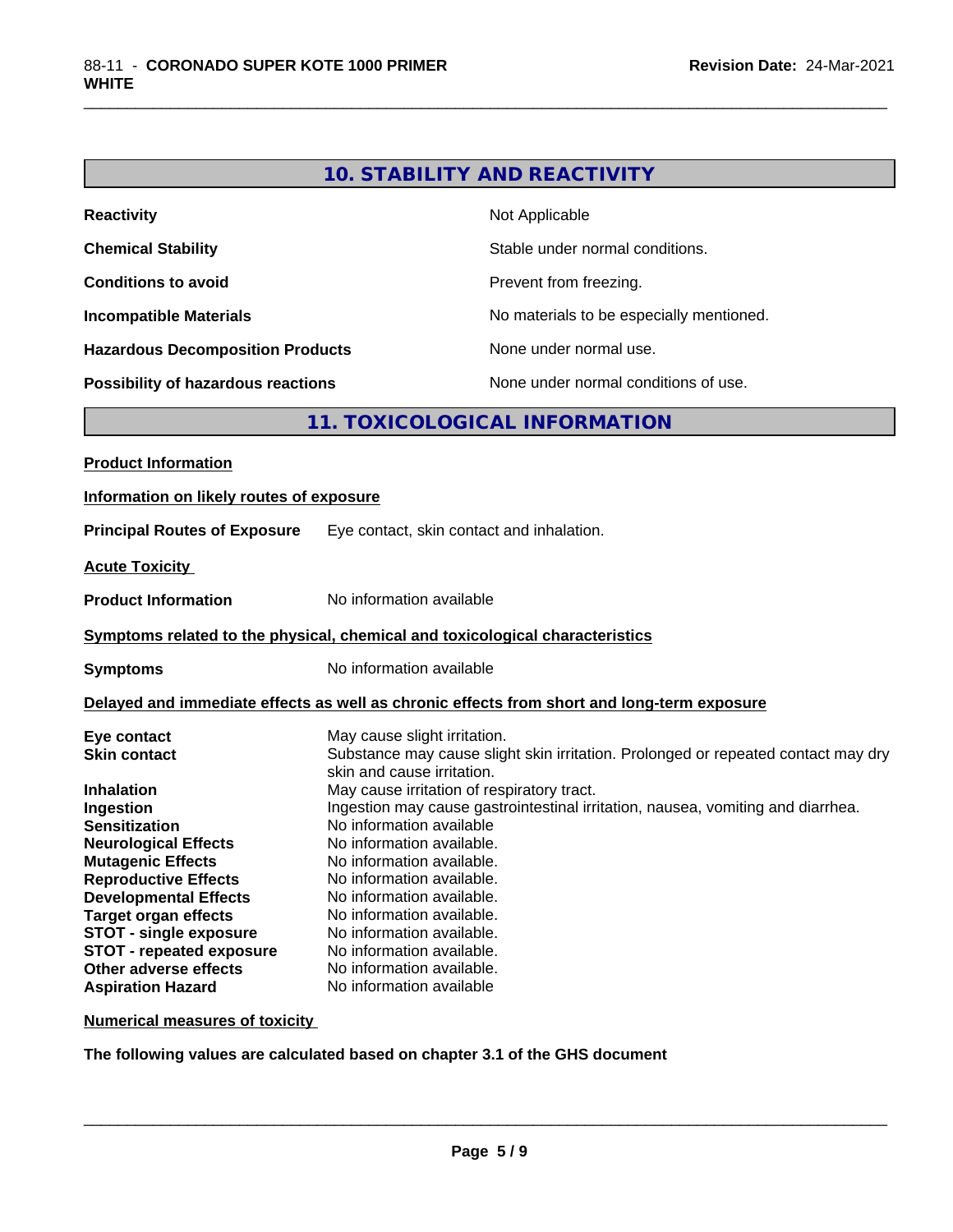# **10. STABILITY AND REACTIVITY**

\_\_\_\_\_\_\_\_\_\_\_\_\_\_\_\_\_\_\_\_\_\_\_\_\_\_\_\_\_\_\_\_\_\_\_\_\_\_\_\_\_\_\_\_\_\_\_\_\_\_\_\_\_\_\_\_\_\_\_\_\_\_\_\_\_\_\_\_\_\_\_\_\_\_\_\_\_\_\_\_\_\_\_\_\_\_\_\_\_\_\_\_\_

| <b>Reactivity</b>                         | Not Applicable                           |
|-------------------------------------------|------------------------------------------|
| <b>Chemical Stability</b>                 | Stable under normal conditions.          |
| <b>Conditions to avoid</b>                | Prevent from freezing.                   |
| <b>Incompatible Materials</b>             | No materials to be especially mentioned. |
| <b>Hazardous Decomposition Products</b>   | None under normal use.                   |
| <b>Possibility of hazardous reactions</b> | None under normal conditions of use.     |

# **11. TOXICOLOGICAL INFORMATION**

| Information on likely routes of exposure                                                                                                                                                                                                                                                                                                                                                                                                                                                                                                             |
|------------------------------------------------------------------------------------------------------------------------------------------------------------------------------------------------------------------------------------------------------------------------------------------------------------------------------------------------------------------------------------------------------------------------------------------------------------------------------------------------------------------------------------------------------|
| Eye contact, skin contact and inhalation.                                                                                                                                                                                                                                                                                                                                                                                                                                                                                                            |
|                                                                                                                                                                                                                                                                                                                                                                                                                                                                                                                                                      |
| No information available                                                                                                                                                                                                                                                                                                                                                                                                                                                                                                                             |
| Symptoms related to the physical, chemical and toxicological characteristics                                                                                                                                                                                                                                                                                                                                                                                                                                                                         |
| No information available                                                                                                                                                                                                                                                                                                                                                                                                                                                                                                                             |
| Delayed and immediate effects as well as chronic effects from short and long-term exposure                                                                                                                                                                                                                                                                                                                                                                                                                                                           |
| May cause slight irritation.<br>Substance may cause slight skin irritation. Prolonged or repeated contact may dry<br>skin and cause irritation.<br>May cause irritation of respiratory tract.<br>Ingestion may cause gastrointestinal irritation, nausea, vomiting and diarrhea.<br>No information available<br>No information available.<br>No information available.<br>No information available.<br>No information available.<br>No information available.<br>No information available.<br>No information available.<br>No information available. |
|                                                                                                                                                                                                                                                                                                                                                                                                                                                                                                                                                      |

**Numerical measures of toxicity**

**The following values are calculated based on chapter 3.1 of the GHS document**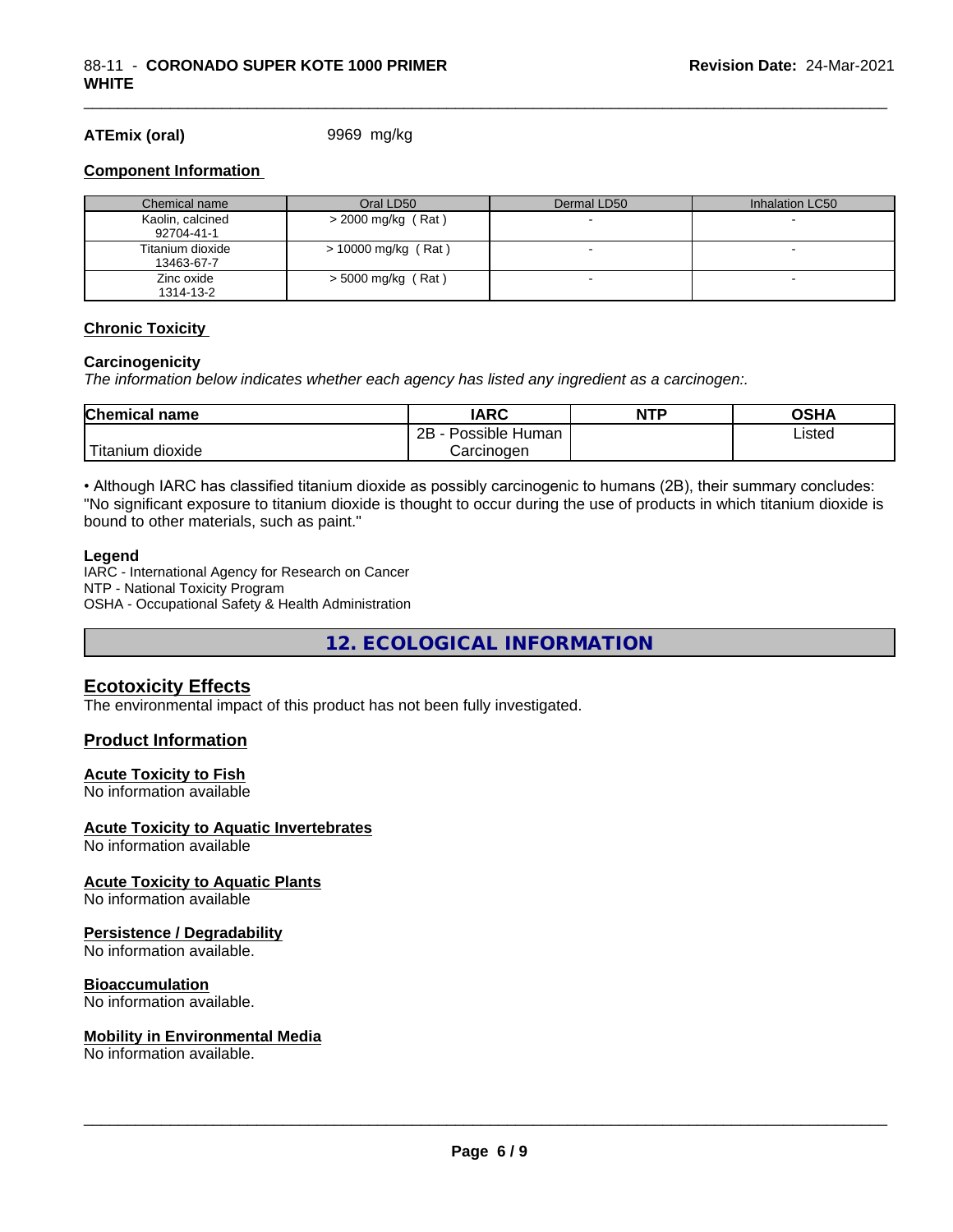#### **ATEmix (oral)** 9969 mg/kg

#### **Component Information**

| Chemical name                  | Oral LD50             | Dermal LD50 | Inhalation LC50 |
|--------------------------------|-----------------------|-------------|-----------------|
| Kaolin, calcined<br>92704-41-1 | $>$ 2000 mg/kg (Rat)  |             |                 |
| Titanium dioxide<br>13463-67-7 | $> 10000$ mg/kg (Rat) |             |                 |
| Zinc oxide<br>1314-13-2        | $>$ 5000 mg/kg (Rat)  |             |                 |

\_\_\_\_\_\_\_\_\_\_\_\_\_\_\_\_\_\_\_\_\_\_\_\_\_\_\_\_\_\_\_\_\_\_\_\_\_\_\_\_\_\_\_\_\_\_\_\_\_\_\_\_\_\_\_\_\_\_\_\_\_\_\_\_\_\_\_\_\_\_\_\_\_\_\_\_\_\_\_\_\_\_\_\_\_\_\_\_\_\_\_\_\_

#### **Chronic Toxicity**

#### **Carcinogenicity**

*The information below indicateswhether each agency has listed any ingredient as a carcinogen:.*

| Chemical<br>name                     | <b>IARC</b>                    | <b>NTP</b> | <b>OCUA</b><br>∪אח |
|--------------------------------------|--------------------------------|------------|--------------------|
|                                      | . .<br>2B<br>Human<br>Possible |            | ∟isted<br>.        |
| .<br><br>, dioxide<br><b>itanium</b> | Carcinogen                     |            |                    |

• Although IARC has classified titanium dioxide as possibly carcinogenic to humans (2B), their summary concludes: "No significant exposure to titanium dioxide is thought to occur during the use of products in which titanium dioxide is bound to other materials, such as paint."

#### **Legend**

IARC - International Agency for Research on Cancer NTP - National Toxicity Program OSHA - Occupational Safety & Health Administration

**12. ECOLOGICAL INFORMATION**

#### **Ecotoxicity Effects**

The environmental impact of this product has not been fully investigated.

#### **Product Information**

#### **Acute Toxicity to Fish**

No information available

#### **Acute Toxicity to Aquatic Invertebrates**

No information available

#### **Acute Toxicity to Aquatic Plants**

No information available

#### **Persistence / Degradability**

No information available.

#### **Bioaccumulation**

No information available.

#### **Mobility in Environmental Media**

No information available.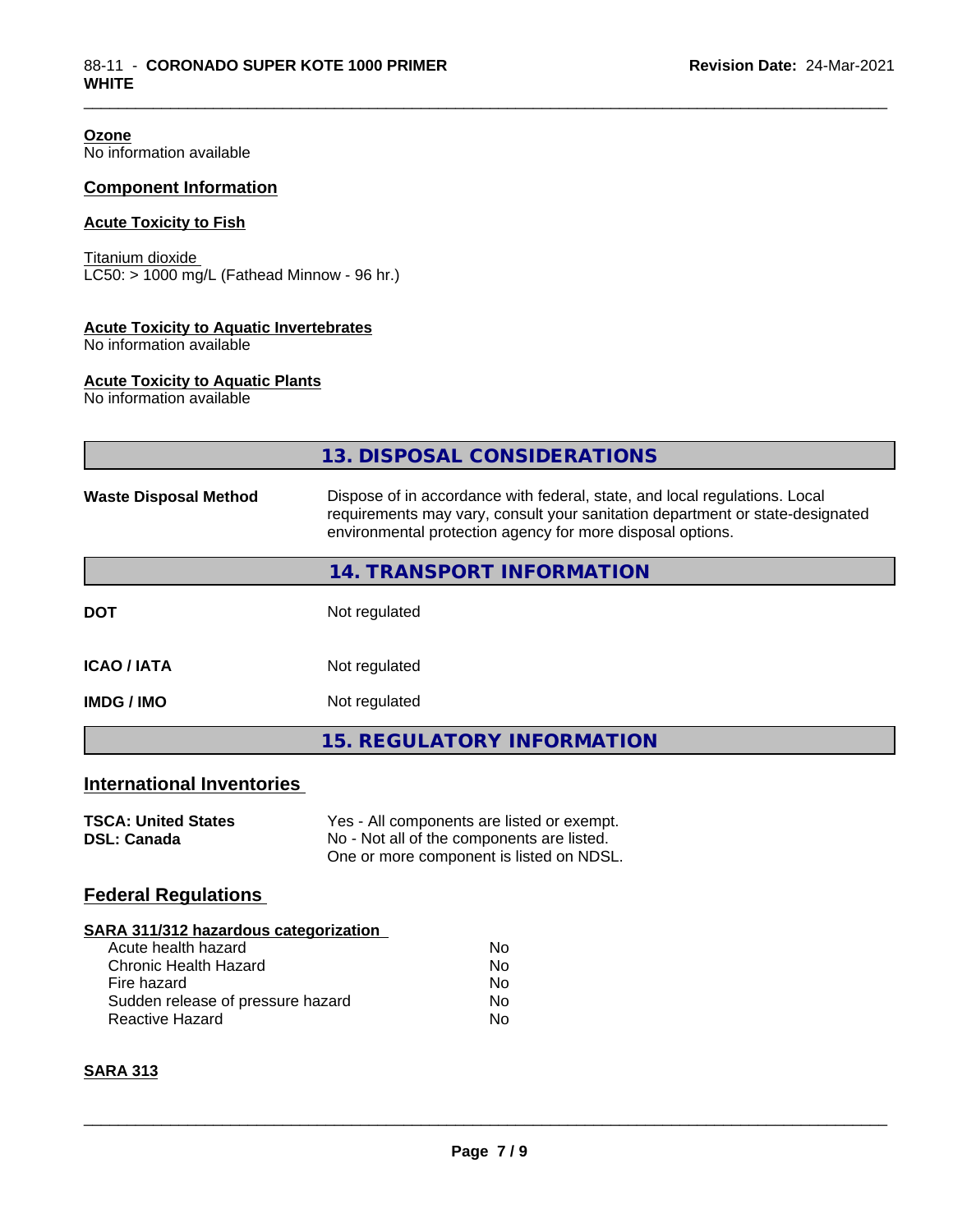**Ozone** No information available

#### **Component Information**

#### **Acute Toxicity to Fish**

Titanium dioxide  $\overline{\text{LC50:}}$  > 1000 mg/L (Fathead Minnow - 96 hr.)

#### **Acute Toxicity to Aquatic Invertebrates**

No information available

#### **Acute Toxicity to Aquatic Plants**

No information available

|                                                  | 13. DISPOSAL CONSIDERATIONS                                                                                                                                                                                               |
|--------------------------------------------------|---------------------------------------------------------------------------------------------------------------------------------------------------------------------------------------------------------------------------|
| <b>Waste Disposal Method</b>                     | Dispose of in accordance with federal, state, and local regulations. Local<br>requirements may vary, consult your sanitation department or state-designated<br>environmental protection agency for more disposal options. |
|                                                  | <b>14. TRANSPORT INFORMATION</b>                                                                                                                                                                                          |
| <b>DOT</b>                                       | Not regulated                                                                                                                                                                                                             |
| <b>ICAO/IATA</b>                                 | Not regulated                                                                                                                                                                                                             |
| <b>IMDG/IMO</b>                                  | Not regulated                                                                                                                                                                                                             |
|                                                  | <b>15. REGULATORY INFORMATION</b>                                                                                                                                                                                         |
| <b>International Inventories</b>                 |                                                                                                                                                                                                                           |
| <b>TSCA: United States</b><br><b>DSL: Canada</b> | Yes - All components are listed or exempt.<br>No - Not all of the components are listed.<br>One or more component is listed on NDSL.                                                                                      |
| <b>Federal Regulations</b>                       |                                                                                                                                                                                                                           |
| SARA 311/312 hazardous categorization            |                                                                                                                                                                                                                           |

\_\_\_\_\_\_\_\_\_\_\_\_\_\_\_\_\_\_\_\_\_\_\_\_\_\_\_\_\_\_\_\_\_\_\_\_\_\_\_\_\_\_\_\_\_\_\_\_\_\_\_\_\_\_\_\_\_\_\_\_\_\_\_\_\_\_\_\_\_\_\_\_\_\_\_\_\_\_\_\_\_\_\_\_\_\_\_\_\_\_\_\_\_

| ARA 91 179 IZ HUZUI UOUS CURCUOI IZUNON |    |  |
|-----------------------------------------|----|--|
| Acute health hazard                     | Nο |  |
| Chronic Health Hazard                   | Nο |  |
| Fire hazard                             | Nο |  |
| Sudden release of pressure hazard       | Nο |  |
| Reactive Hazard                         | Nο |  |
|                                         |    |  |

### **SARA 313**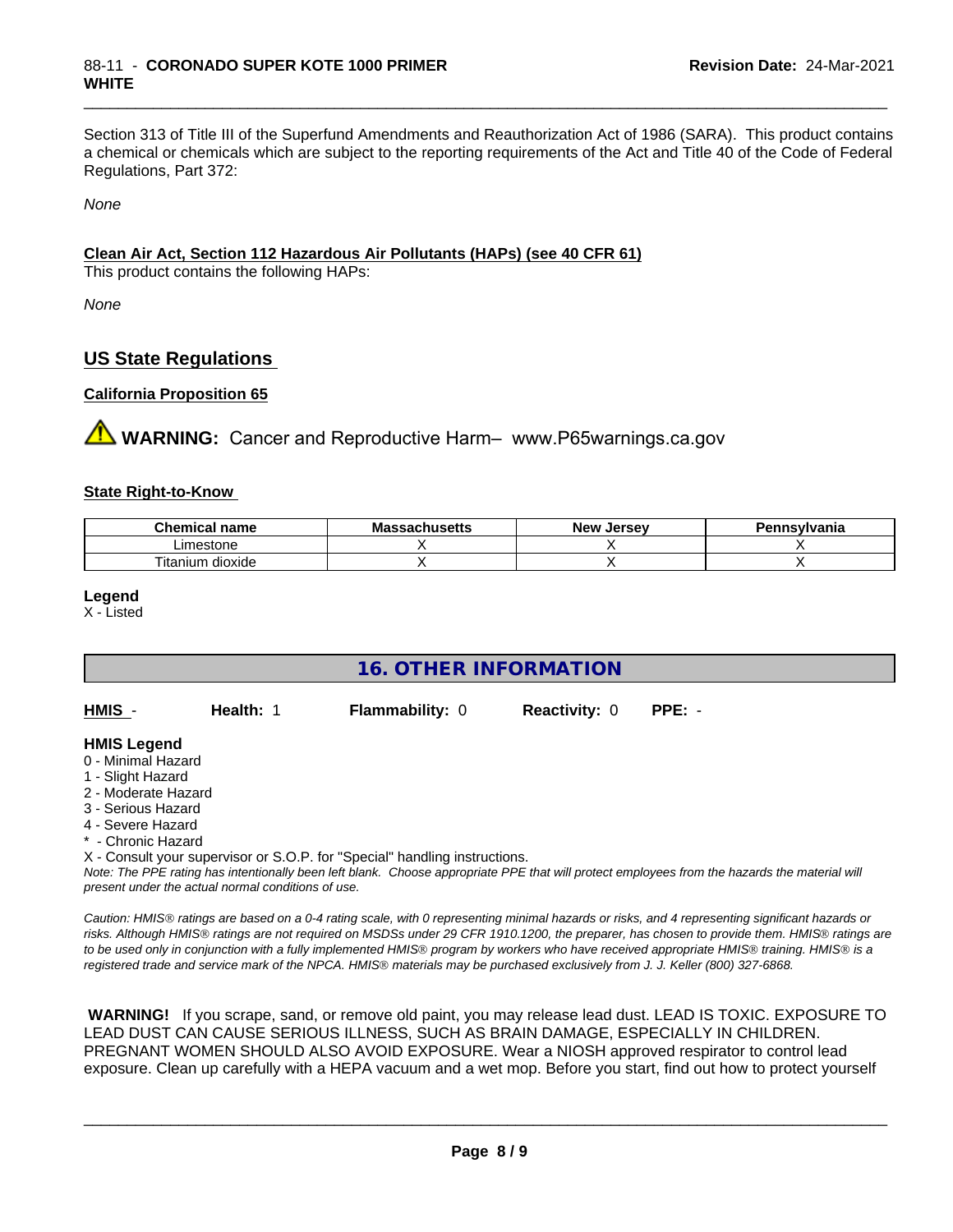Section 313 of Title III of the Superfund Amendments and Reauthorization Act of 1986 (SARA). This product contains a chemical or chemicals which are subject to the reporting requirements of the Act and Title 40 of the Code of Federal Regulations, Part 372:

\_\_\_\_\_\_\_\_\_\_\_\_\_\_\_\_\_\_\_\_\_\_\_\_\_\_\_\_\_\_\_\_\_\_\_\_\_\_\_\_\_\_\_\_\_\_\_\_\_\_\_\_\_\_\_\_\_\_\_\_\_\_\_\_\_\_\_\_\_\_\_\_\_\_\_\_\_\_\_\_\_\_\_\_\_\_\_\_\_\_\_\_\_

*None*

#### **Clean Air Act,Section 112 Hazardous Air Pollutants (HAPs) (see 40 CFR 61)**

This product contains the following HAPs:

*None*

### **US State Regulations**

#### **California Proposition 65**

**AVIMARNING:** Cancer and Reproductive Harm– www.P65warnings.ca.gov

#### **State Right-to-Know**

| emica.<br>name<br>~ ⊔ | - -<br>wю<br>aunuscus | Jersev<br><b>Nev</b> | svlvania |
|-----------------------|-----------------------|----------------------|----------|
| Limestone             |                       |                      |          |
| dioxide<br>l itanium  |                       |                      |          |

**Legend**

X - Listed

| <b>16. OTHER INFORMATION</b>                                                                                                                          |                                                    |                                                                            |                      |                                                                                                                                                 |  |  |
|-------------------------------------------------------------------------------------------------------------------------------------------------------|----------------------------------------------------|----------------------------------------------------------------------------|----------------------|-------------------------------------------------------------------------------------------------------------------------------------------------|--|--|
| HMIS -                                                                                                                                                | Health: 1                                          | <b>Flammability: 0</b>                                                     | <b>Reactivity: 0</b> | $PPE: -$                                                                                                                                        |  |  |
| <b>HMIS Legend</b><br>0 - Minimal Hazard<br>1 - Slight Hazard<br>2 - Moderate Hazard<br>3 - Serious Hazard<br>4 - Severe Hazard<br>* - Chronic Hazard | present under the actual normal conditions of use. | X - Consult your supervisor or S.O.P. for "Special" handling instructions. |                      | Note: The PPE rating has intentionally been left blank. Choose appropriate PPE that will protect employees from the hazards the material will   |  |  |
|                                                                                                                                                       |                                                    |                                                                            |                      | Caution: HMIS® ratings are based on a 0-4 rating scale, with 0 representing minimal hazards or risks, and 4 representing significant hazards or |  |  |

*risks. Although HMISÒ ratings are not required on MSDSs under 29 CFR 1910.1200, the preparer, has chosen to provide them. HMISÒ ratings are to be used only in conjunction with a fully implemented HMISÒ program by workers who have received appropriate HMISÒ training. HMISÒ is a registered trade and service mark of the NPCA. HMISÒ materials may be purchased exclusively from J. J. Keller (800) 327-6868.*

 **WARNING!** If you scrape, sand, or remove old paint, you may release lead dust. LEAD IS TOXIC. EXPOSURE TO LEAD DUST CAN CAUSE SERIOUS ILLNESS, SUCH AS BRAIN DAMAGE, ESPECIALLY IN CHILDREN. PREGNANT WOMEN SHOULD ALSO AVOID EXPOSURE.Wear a NIOSH approved respirator to control lead exposure. Clean up carefully with a HEPA vacuum and a wet mop. Before you start, find out how to protect yourself